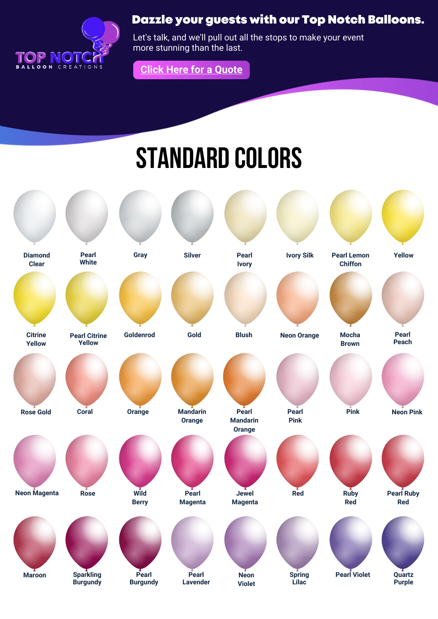

## Dazzle your guests with our Top Notch Balloons.

Let's talk, and we'll pull out all the stops to make your event more stunning than the last.



## Standard Colors